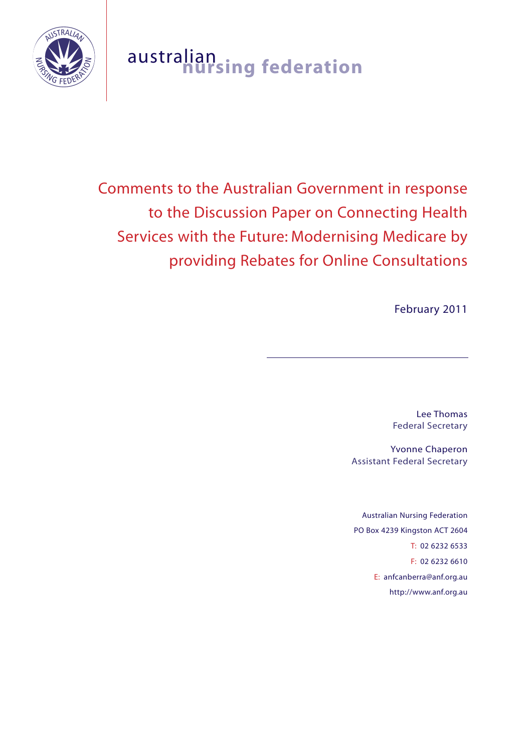

# australian **nursing federation**

Comments to the Australian Government in response to the Discussion Paper on Connecting Health Services with the Future: Modernising Medicare by providing Rebates for Online Consultations

February 2011

Lee Thomas Federal Secretary

Yvonne Chaperon Assistant Federal Secretary

Australian Nursing Federation PO Box 4239 Kingston ACT 2604 T: 02 6232 6533 F: 02 6232 6610 E: anfcanberra@anf.org.au http://www.anf.org.au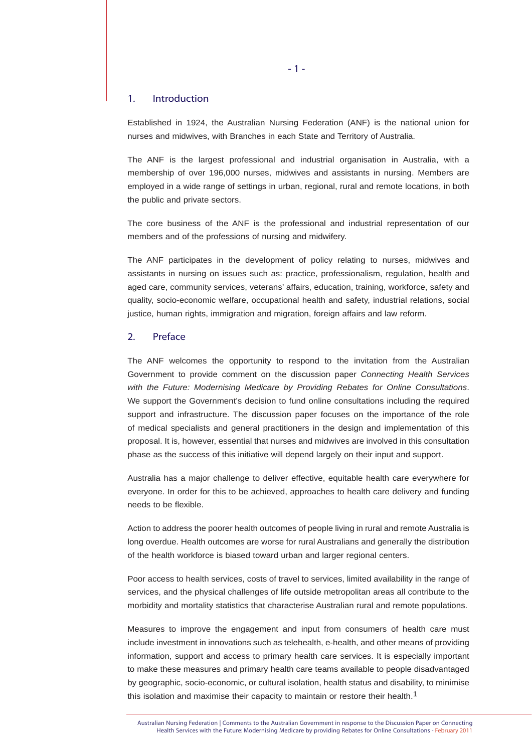### 1. Introduction

Established in 1924, the Australian Nursing Federation (ANF) is the national union for nurses and midwives, with Branches in each State and Territory of Australia.

The ANF is the largest professional and industrial organisation in Australia, with a membership of over 196,000 nurses, midwives and assistants in nursing. Members are employed in a wide range of settings in urban, regional, rural and remote locations, in both the public and private sectors.

The core business of the ANF is the professional and industrial representation of our members and of the professions of nursing and midwifery.

The ANF participates in the development of policy relating to nurses, midwives and assistants in nursing on issues such as: practice, professionalism, regulation, health and aged care, community services, veterans' affairs, education, training, workforce, safety and quality, socio-economic welfare, occupational health and safety, industrial relations, social justice, human rights, immigration and migration, foreign affairs and law reform.

# 2. Preface

The ANF welcomes the opportunity to respond to the invitation from the Australian Government to provide comment on the discussion paper *Connecting Health Services with the Future: Modernising Medicare by Providing Rebates for Online Consultations*. We support the Government's decision to fund online consultations including the required support and infrastructure. The discussion paper focuses on the importance of the role of medical specialists and general practitioners in the design and implementation of this proposal. It is, however, essential that nurses and midwives are involved in this consultation phase as the success of this initiative will depend largely on their input and support.

Australia has a major challenge to deliver effective, equitable health care everywhere for everyone. In order for this to be achieved, approaches to health care delivery and funding needs to be flexible.

Action to address the poorer health outcomes of people living in rural and remote Australia is long overdue. Health outcomes are worse for rural Australians and generally the distribution of the health workforce is biased toward urban and larger regional centers.

Poor access to health services, costs of travel to services, limited availability in the range of services, and the physical challenges of life outside metropolitan areas all contribute to the morbidity and mortality statistics that characterise Australian rural and remote populations.

Measures to improve the engagement and input from consumers of health care must include investment in innovations such as telehealth, e-health, and other means of providing information, support and access to primary health care services. It is especially important to make these measures and primary health care teams available to people disadvantaged by geographic, socio-economic, or cultural isolation, health status and disability, to minimise this isolation and maximise their capacity to maintain or restore their health.<sup>1</sup>

Australian Nursing Federation | Comments to the Australian Government in response to the Discussion Paper on Connecting Health Services with the Future: Modernising Medicare by providing Rebates for Online Consultations - February 2011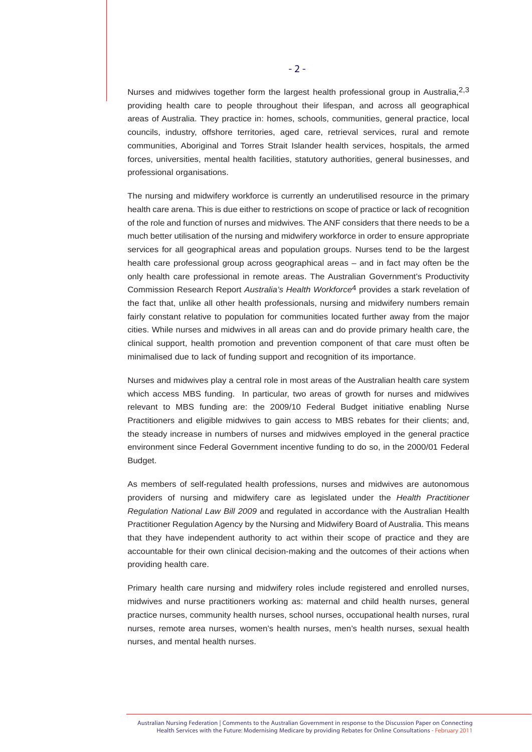Nurses and midwives together form the largest health professional group in Australia, 2,3 providing health care to people throughout their lifespan, and across all geographical areas of Australia. They practice in: homes, schools, communities, general practice, local councils, industry, offshore territories, aged care, retrieval services, rural and remote communities, Aboriginal and Torres Strait Islander health services, hospitals, the armed forces, universities, mental health facilities, statutory authorities, general businesses, and professional organisations.

The nursing and midwifery workforce is currently an underutilised resource in the primary health care arena. This is due either to restrictions on scope of practice or lack of recognition of the role and function of nurses and midwives. The ANF considers that there needs to be a much better utilisation of the nursing and midwifery workforce in order to ensure appropriate services for all geographical areas and population groups. Nurses tend to be the largest health care professional group across geographical areas – and in fact may often be the only health care professional in remote areas. The Australian Government's Productivity Commission Research Report *Australia's Health Workforce*4 provides a stark revelation of the fact that, unlike all other health professionals, nursing and midwifery numbers remain fairly constant relative to population for communities located further away from the major cities. While nurses and midwives in all areas can and do provide primary health care, the clinical support, health promotion and prevention component of that care must often be minimalised due to lack of funding support and recognition of its importance.

Nurses and midwives play a central role in most areas of the Australian health care system which access MBS funding. In particular, two areas of growth for nurses and midwives relevant to MBS funding are: the 2009/10 Federal Budget initiative enabling Nurse Practitioners and eligible midwives to gain access to MBS rebates for their clients; and, the steady increase in numbers of nurses and midwives employed in the general practice environment since Federal Government incentive funding to do so, in the 2000/01 Federal Budget.

As members of self-regulated health professions, nurses and midwives are autonomous providers of nursing and midwifery care as legislated under the *Health Practitioner Regulation National Law Bill 2009* and regulated in accordance with the Australian Health Practitioner Regulation Agency by the Nursing and Midwifery Board of Australia. This means that they have independent authority to act within their scope of practice and they are accountable for their own clinical decision-making and the outcomes of their actions when providing health care.

Primary health care nursing and midwifery roles include registered and enrolled nurses, midwives and nurse practitioners working as: maternal and child health nurses, general practice nurses, community health nurses, school nurses, occupational health nurses, rural nurses, remote area nurses, women's health nurses, men's health nurses, sexual health nurses, and mental health nurses.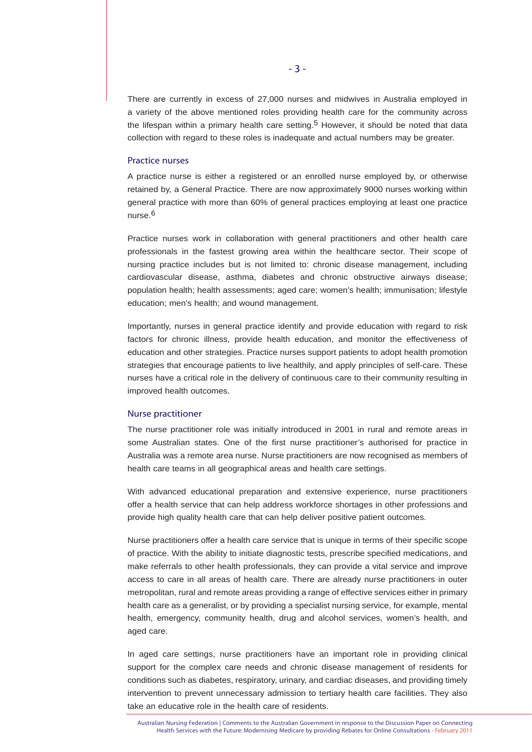There are currently in excess of 27,000 nurses and midwives in Australia employed in a variety of the above mentioned roles providing health care for the community across the lifespan within a primary health care setting.<sup>5</sup> However, it should be noted that data collection with regard to these roles is inadequate and actual numbers may be greater.

## Practice nurses

A practice nurse is either a registered or an enrolled nurse employed by, or otherwise retained by, a General Practice. There are now approximately 9000 nurses working within general practice with more than 60% of general practices employing at least one practice nurse.6

Practice nurses work in collaboration with general practitioners and other health care professionals in the fastest growing area within the healthcare sector. Their scope of nursing practice includes but is not limited to: chronic disease management, including cardiovascular disease, asthma, diabetes and chronic obstructive airways disease; population health; health assessments; aged care; women's health; immunisation; lifestyle education; men's health; and wound management.

Importantly, nurses in general practice identify and provide education with regard to risk factors for chronic illness, provide health education, and monitor the effectiveness of education and other strategies. Practice nurses support patients to adopt health promotion strategies that encourage patients to live healthily, and apply principles of self-care. These nurses have a critical role in the delivery of continuous care to their community resulting in improved health outcomes.

# Nurse practitioner

The nurse practitioner role was initially introduced in 2001 in rural and remote areas in some Australian states. One of the first nurse practitioner's authorised for practice in Australia was a remote area nurse. Nurse practitioners are now recognised as members of health care teams in all geographical areas and health care settings.

With advanced educational preparation and extensive experience, nurse practitioners offer a health service that can help address workforce shortages in other professions and provide high quality health care that can help deliver positive patient outcomes.

Nurse practitioners offer a health care service that is unique in terms of their specific scope of practice. With the ability to initiate diagnostic tests, prescribe specified medications, and make referrals to other health professionals, they can provide a vital service and improve access to care in all areas of health care. There are already nurse practitioners in outer metropolitan, rural and remote areas providing a range of effective services either in primary health care as a generalist, or by providing a specialist nursing service, for example, mental health, emergency, community health, drug and alcohol services, women's health, and aged care.

In aged care settings, nurse practitioners have an important role in providing clinical support for the complex care needs and chronic disease management of residents for conditions such as diabetes, respiratory, urinary, and cardiac diseases, and providing timely intervention to prevent unnecessary admission to tertiary health care facilities. They also take an educative role in the health care of residents.

Australian Nursing Federation | Comments to the Australian Government in response to the Discussion Paper on Connecting Health Services with the Future: Modernising Medicare by providing Rebates for Online Consultations - February 2011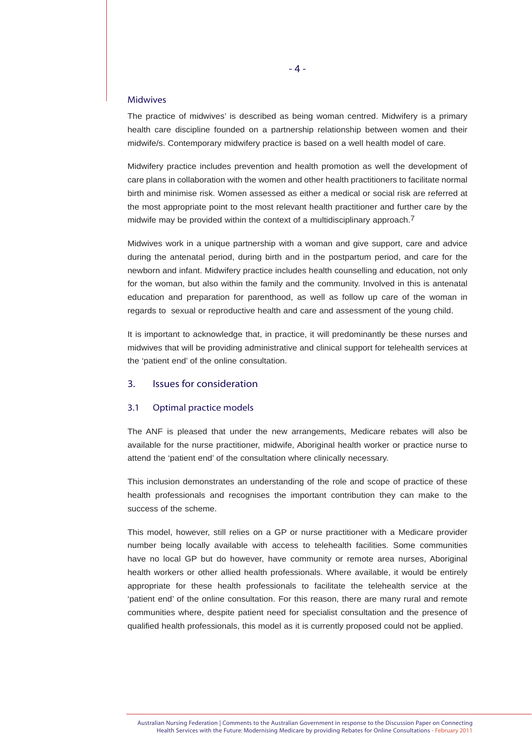#### Midwives

The practice of midwives' is described as being woman centred. Midwifery is a primary health care discipline founded on a partnership relationship between women and their midwife/s. Contemporary midwifery practice is based on a well health model of care.

Midwifery practice includes prevention and health promotion as well the development of care plans in collaboration with the women and other health practitioners to facilitate normal birth and minimise risk. Women assessed as either a medical or social risk are referred at the most appropriate point to the most relevant health practitioner and further care by the midwife may be provided within the context of a multidisciplinary approach.<sup>7</sup>

Midwives work in a unique partnership with a woman and give support, care and advice during the antenatal period, during birth and in the postpartum period, and care for the newborn and infant. Midwifery practice includes health counselling and education, not only for the woman, but also within the family and the community. Involved in this is antenatal education and preparation for parenthood, as well as follow up care of the woman in regards to sexual or reproductive health and care and assessment of the young child.

It is important to acknowledge that, in practice, it will predominantly be these nurses and midwives that will be providing administrative and clinical support for telehealth services at the 'patient end' of the online consultation.

## 3. Issues for consideration

#### 3.1 Optimal practice models

The ANF is pleased that under the new arrangements, Medicare rebates will also be available for the nurse practitioner, midwife, Aboriginal health worker or practice nurse to attend the 'patient end' of the consultation where clinically necessary.

This inclusion demonstrates an understanding of the role and scope of practice of these health professionals and recognises the important contribution they can make to the success of the scheme.

This model, however, still relies on a GP or nurse practitioner with a Medicare provider number being locally available with access to telehealth facilities. Some communities have no local GP but do however, have community or remote area nurses, Aboriginal health workers or other allied health professionals. Where available, it would be entirely appropriate for these health professionals to facilitate the telehealth service at the 'patient end' of the online consultation. For this reason, there are many rural and remote communities where, despite patient need for specialist consultation and the presence of qualified health professionals, this model as it is currently proposed could not be applied.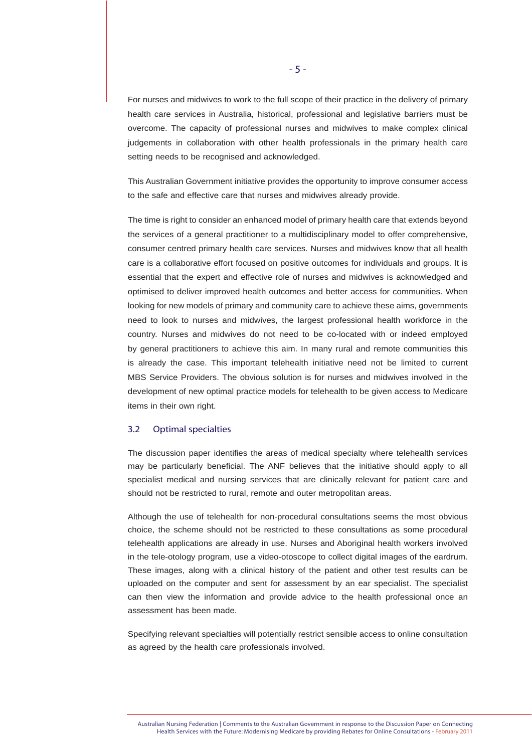For nurses and midwives to work to the full scope of their practice in the delivery of primary health care services in Australia, historical, professional and legislative barriers must be overcome. The capacity of professional nurses and midwives to make complex clinical judgements in collaboration with other health professionals in the primary health care setting needs to be recognised and acknowledged.

This Australian Government initiative provides the opportunity to improve consumer access to the safe and effective care that nurses and midwives already provide.

The time is right to consider an enhanced model of primary health care that extends beyond the services of a general practitioner to a multidisciplinary model to offer comprehensive, consumer centred primary health care services. Nurses and midwives know that all health care is a collaborative effort focused on positive outcomes for individuals and groups. It is essential that the expert and effective role of nurses and midwives is acknowledged and optimised to deliver improved health outcomes and better access for communities. When looking for new models of primary and community care to achieve these aims, governments need to look to nurses and midwives, the largest professional health workforce in the country. Nurses and midwives do not need to be co-located with or indeed employed by general practitioners to achieve this aim. In many rural and remote communities this is already the case. This important telehealth initiative need not be limited to current MBS Service Providers. The obvious solution is for nurses and midwives involved in the development of new optimal practice models for telehealth to be given access to Medicare items in their own right.

## 3.2 Optimal specialties

The discussion paper identifies the areas of medical specialty where telehealth services may be particularly beneficial. The ANF believes that the initiative should apply to all specialist medical and nursing services that are clinically relevant for patient care and should not be restricted to rural, remote and outer metropolitan areas.

Although the use of telehealth for non-procedural consultations seems the most obvious choice, the scheme should not be restricted to these consultations as some procedural telehealth applications are already in use. Nurses and Aboriginal health workers involved in the tele-otology program, use a video-otoscope to collect digital images of the eardrum. These images, along with a clinical history of the patient and other test results can be uploaded on the computer and sent for assessment by an ear specialist. The specialist can then view the information and provide advice to the health professional once an assessment has been made.

Specifying relevant specialties will potentially restrict sensible access to online consultation as agreed by the health care professionals involved.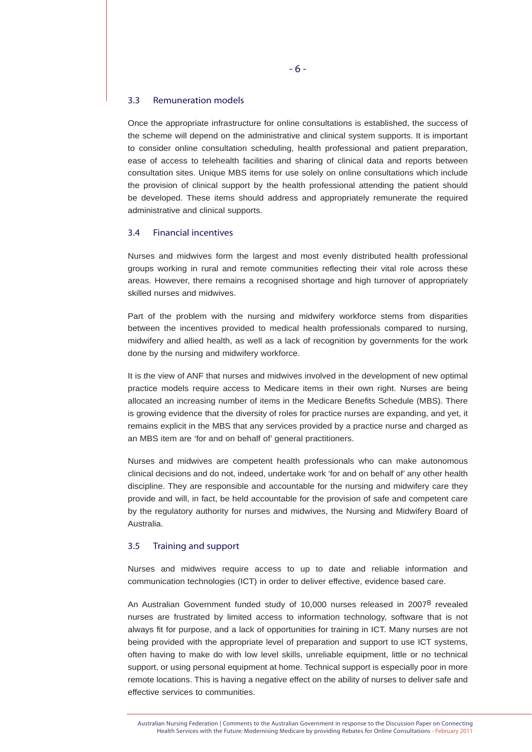#### 3.3 Remuneration models

Once the appropriate infrastructure for online consultations is established, the success of the scheme will depend on the administrative and clinical system supports. It is important to consider online consultation scheduling, health professional and patient preparation, ease of access to telehealth facilities and sharing of clinical data and reports between consultation sites. Unique MBS items for use solely on online consultations which include the provision of clinical support by the health professional attending the patient should be developed. These items should address and appropriately remunerate the required administrative and clinical supports.

## 3.4 Financial incentives

Nurses and midwives form the largest and most evenly distributed health professional groups working in rural and remote communities reflecting their vital role across these areas. However, there remains a recognised shortage and high turnover of appropriately skilled nurses and midwives.

Part of the problem with the nursing and midwifery workforce stems from disparities between the incentives provided to medical health professionals compared to nursing, midwifery and allied health, as well as a lack of recognition by governments for the work done by the nursing and midwifery workforce.

It is the view of ANF that nurses and midwives involved in the development of new optimal practice models require access to Medicare items in their own right. Nurses are being allocated an increasing number of items in the Medicare Benefits Schedule (MBS). There is growing evidence that the diversity of roles for practice nurses are expanding, and yet, it remains explicit in the MBS that any services provided by a practice nurse and charged as an MBS item are 'for and on behalf of' general practitioners.

Nurses and midwives are competent health professionals who can make autonomous clinical decisions and do not, indeed, undertake work 'for and on behalf of' any other health discipline. They are responsible and accountable for the nursing and midwifery care they provide and will, in fact, be held accountable for the provision of safe and competent care by the regulatory authority for nurses and midwives, the Nursing and Midwifery Board of Australia.

#### 3.5 Training and support

Nurses and midwives require access to up to date and reliable information and communication technologies (ICT) in order to deliver effective, evidence based care.

An Australian Government funded study of 10,000 nurses released in 2007<sup>8</sup> revealed nurses are frustrated by limited access to information technology, software that is not always fit for purpose, and a lack of opportunities for training in ICT. Many nurses are not being provided with the appropriate level of preparation and support to use ICT systems, often having to make do with low level skills, unreliable equipment, little or no technical support, or using personal equipment at home. Technical support is especially poor in more remote locations. This is having a negative effect on the ability of nurses to deliver safe and effective services to communities.

Australian Nursing Federation | Comments to the Australian Government in response to the Discussion Paper on Connecting Health Services with the Future: Modernising Medicare by providing Rebates for Online Consultations - February 2011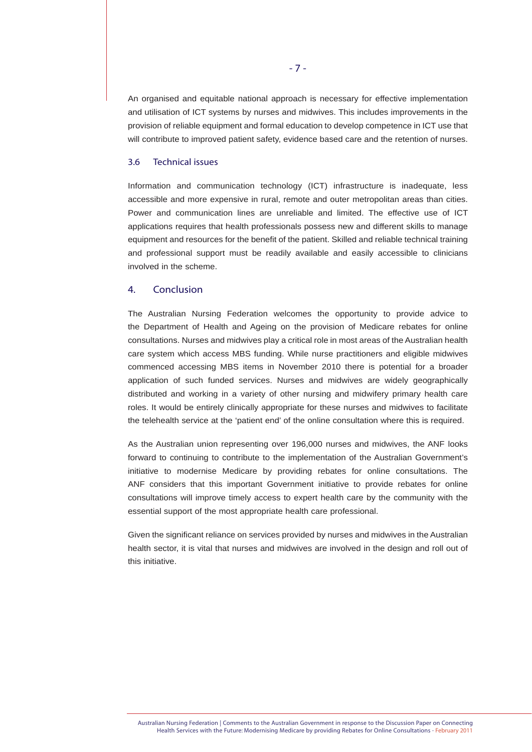An organised and equitable national approach is necessary for effective implementation and utilisation of ICT systems by nurses and midwives. This includes improvements in the provision of reliable equipment and formal education to develop competence in ICT use that will contribute to improved patient safety, evidence based care and the retention of nurses.

# 3.6 Technical issues

Information and communication technology (ICT) infrastructure is inadequate, less accessible and more expensive in rural, remote and outer metropolitan areas than cities. Power and communication lines are unreliable and limited. The effective use of ICT applications requires that health professionals possess new and different skills to manage equipment and resources for the benefit of the patient. Skilled and reliable technical training and professional support must be readily available and easily accessible to clinicians involved in the scheme.

# 4. Conclusion

The Australian Nursing Federation welcomes the opportunity to provide advice to the Department of Health and Ageing on the provision of Medicare rebates for online consultations. Nurses and midwives play a critical role in most areas of the Australian health care system which access MBS funding. While nurse practitioners and eligible midwives commenced accessing MBS items in November 2010 there is potential for a broader application of such funded services. Nurses and midwives are widely geographically distributed and working in a variety of other nursing and midwifery primary health care roles. It would be entirely clinically appropriate for these nurses and midwives to facilitate the telehealth service at the 'patient end' of the online consultation where this is required.

As the Australian union representing over 196,000 nurses and midwives, the ANF looks forward to continuing to contribute to the implementation of the Australian Government's initiative to modernise Medicare by providing rebates for online consultations. The ANF considers that this important Government initiative to provide rebates for online consultations will improve timely access to expert health care by the community with the essential support of the most appropriate health care professional.

Given the significant reliance on services provided by nurses and midwives in the Australian health sector, it is vital that nurses and midwives are involved in the design and roll out of this initiative.

- 7 -